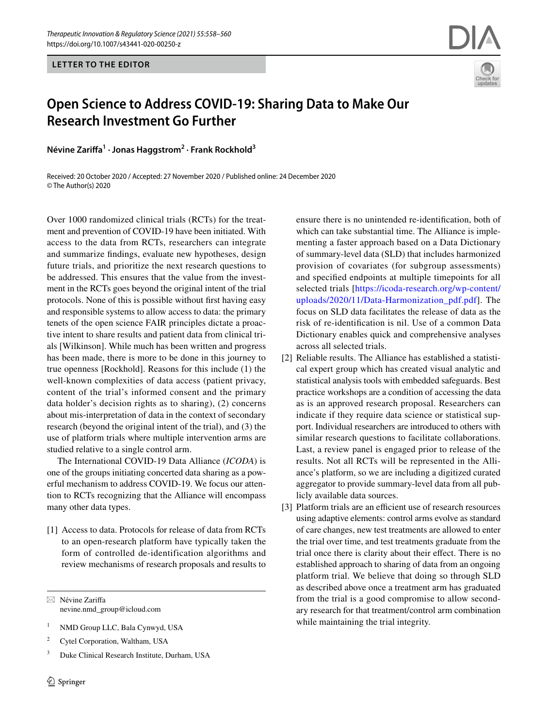**LETTER TO THE EDITOR**



# **Open Science to Address COVID‑19: Sharing Data to Make Our Research Investment Go Further**

**Névine Zarifa1 · Jonas Haggstrom2 · Frank Rockhold3**

Received: 20 October 2020 / Accepted: 27 November 2020 / Published online: 24 December 2020 © The Author(s) 2020

Over 1000 randomized clinical trials (RCTs) for the treatment and prevention of COVID-19 have been initiated. With access to the data from RCTs, researchers can integrate and summarize fndings, evaluate new hypotheses, design future trials, and prioritize the next research questions to be addressed. This ensures that the value from the investment in the RCTs goes beyond the original intent of the trial protocols. None of this is possible without frst having easy and responsible systems to allow access to data: the primary tenets of the open science FAIR principles dictate a proactive intent to share results and patient data from clinical trials [Wilkinson]. While much has been written and progress has been made, there is more to be done in this journey to true openness [Rockhold]. Reasons for this include (1) the well-known complexities of data access (patient privacy, content of the trial's informed consent and the primary data holder's decision rights as to sharing), (2) concerns about mis-interpretation of data in the context of secondary research (beyond the original intent of the trial), and (3) the use of platform trials where multiple intervention arms are studied relative to a single control arm.

The International COVID-19 Data Alliance (*ICODA*) is one of the groups initiating concerted data sharing as a powerful mechanism to address COVID-19. We focus our attention to RCTs recognizing that the Alliance will encompass many other data types.

[1] Access to data. Protocols for release of data from RCTs to an open-research platform have typically taken the form of controlled de-identification algorithms and review mechanisms of research proposals and results to

 $\boxtimes$  Névine Zariffa nevine.nmd\_group@icloud.com

- <sup>1</sup> NMD Group LLC, Bala Cynwyd, USA
- <sup>2</sup> Cytel Corporation, Waltham, USA
- <sup>3</sup> Duke Clinical Research Institute, Durham, USA

ensure there is no unintended re-identifcation, both of which can take substantial time. The Alliance is implementing a faster approach based on a Data Dictionary of summary-level data (SLD) that includes harmonized provision of covariates (for subgroup assessments) and specifed endpoints at multiple timepoints for all selected trials [\[https://icoda-research.org/wp-content/](https://icoda-research.org/wp-content/uploads/2020/11/Data-Harmonization_pdf.pdf) [uploads/2020/11/Data-Harmonization\\_pdf.pdf](https://icoda-research.org/wp-content/uploads/2020/11/Data-Harmonization_pdf.pdf)]. The focus on SLD data facilitates the release of data as the risk of re-identifcation is nil. Use of a common Data Dictionary enables quick and comprehensive analyses across all selected trials.

- [2] Reliable results. The Alliance has established a statistical expert group which has created visual analytic and statistical analysis tools with embedded safeguards. Best practice workshops are a condition of accessing the data as is an approved research proposal. Researchers can indicate if they require data science or statistical support. Individual researchers are introduced to others with similar research questions to facilitate collaborations. Last, a review panel is engaged prior to release of the results. Not all RCTs will be represented in the Alliance's platform, so we are including a digitized curated aggregator to provide summary-level data from all publicly available data sources.
- [3] Platform trials are an efficient use of research resources using adaptive elements: control arms evolve as standard of care changes, new test treatments are allowed to enter the trial over time, and test treatments graduate from the trial once there is clarity about their efect. There is no established approach to sharing of data from an ongoing platform trial. We believe that doing so through SLD as described above once a treatment arm has graduated from the trial is a good compromise to allow secondary research for that treatment/control arm combination while maintaining the trial integrity.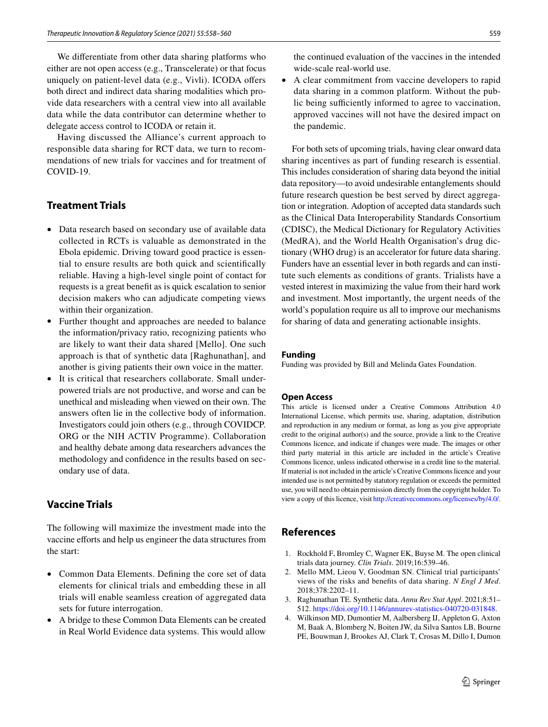We diferentiate from other data sharing platforms who either are not open access (e.g., Transcelerate) or that focus uniquely on patient-level data (e.g., Vivli). ICODA offers both direct and indirect data sharing modalities which provide data researchers with a central view into all available data while the data contributor can determine whether to delegate access control to ICODA or retain it.

Having discussed the Alliance's current approach to responsible data sharing for RCT data, we turn to recommendations of new trials for vaccines and for treatment of COVID-19.

## **Treatment Trials**

- Data research based on secondary use of available data collected in RCTs is valuable as demonstrated in the Ebola epidemic. Driving toward good practice is essential to ensure results are both quick and scientifcally reliable. Having a high-level single point of contact for requests is a great beneft as is quick escalation to senior decision makers who can adjudicate competing views within their organization.
- Further thought and approaches are needed to balance the information/privacy ratio, recognizing patients who are likely to want their data shared [Mello]. One such approach is that of synthetic data [Raghunathan], and another is giving patients their own voice in the matter.
- It is critical that researchers collaborate. Small underpowered trials are not productive, and worse and can be unethical and misleading when viewed on their own. The answers often lie in the collective body of information. Investigators could join others (e.g., through COVIDCP. ORG or the NIH ACTIV Programme). Collaboration and healthy debate among data researchers advances the methodology and confdence in the results based on secondary use of data.

### **Vaccine Trials**

The following will maximize the investment made into the vaccine efforts and help us engineer the data structures from the start:

- Common Data Elements. Defining the core set of data elements for clinical trials and embedding these in all trials will enable seamless creation of aggregated data sets for future interrogation.
- A bridge to these Common Data Elements can be created in Real World Evidence data systems. This would allow

the continued evaluation of the vaccines in the intended wide-scale real-world use.

• A clear commitment from vaccine developers to rapid data sharing in a common platform. Without the public being sufficiently informed to agree to vaccination, approved vaccines will not have the desired impact on the pandemic.

For both sets of upcoming trials, having clear onward data sharing incentives as part of funding research is essential. This includes consideration of sharing data beyond the initial data repository—to avoid undesirable entanglements should future research question be best served by direct aggregation or integration. Adoption of accepted data standards such as the Clinical Data Interoperability Standards Consortium (CDISC), the Medical Dictionary for Regulatory Activities (MedRA), and the World Health Organisation's drug dictionary (WHO drug) is an accelerator for future data sharing. Funders have an essential lever in both regards and can institute such elements as conditions of grants. Trialists have a vested interest in maximizing the value from their hard work and investment. Most importantly, the urgent needs of the world's population require us all to improve our mechanisms for sharing of data and generating actionable insights.

#### **Funding**

Funding was provided by Bill and Melinda Gates Foundation.

#### **Open Access**

This article is licensed under a Creative Commons Attribution 4.0 International License, which permits use, sharing, adaptation, distribution and reproduction in any medium or format, as long as you give appropriate credit to the original author(s) and the source, provide a link to the Creative Commons licence, and indicate if changes were made. The images or other third party material in this article are included in the article's Creative Commons licence, unless indicated otherwise in a credit line to the material. If material is not included in the article's Creative Commons licence and your intended use is not permitted by statutory regulation or exceeds the permitted use, you will need to obtain permission directly from the copyright holder. To view a copy of this licence, visit<http://creativecommons.org/licenses/by/4.0/>.

# **References**

- 1. Rockhold F, Bromley C, Wagner EK, Buyse M. The open clinical trials data journey. *Clin Trials*. 2019;16:539–46.
- 2. Mello MM, Lieou V, Goodman SN. Clinical trial participants' views of the risks and benefts of data sharing. *N Engl J Med*. 2018;378:2202–11.
- 3. Raghunathan TE. Synthetic data. *Annu Rev Stat Appl*. 2021;8:51– 512.<https://doi.org/10.1146/annurev-statistics-040720-031848>.
- 4. Wilkinson MD, Dumontier M, Aalbersberg IJ, Appleton G, Axton M, Baak A, Blomberg N, Boiten JW, da Silva Santos LB, Bourne PE, Bouwman J, Brookes AJ, Clark T, Crosas M, Dillo I, Dumon